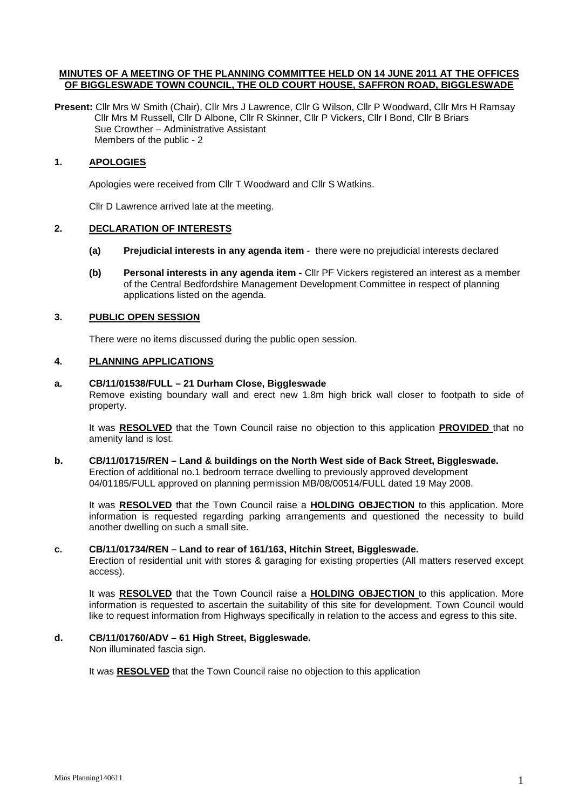### **MINUTES OF A MEETING OF THE PLANNING COMMITTEE HELD ON 14 JUNE 2011 AT THE OFFICES OF BIGGLESWADE TOWN COUNCIL, THE OLD COURT HOUSE, SAFFRON ROAD, BIGGLESWADE**

Present: Cllr Mrs W Smith (Chair), Cllr Mrs J Lawrence, Cllr G Wilson, Cllr P Woodward, Cllr Mrs H Ramsay Cllr Mrs M Russell, Cllr D Albone, Cllr R Skinner, Cllr P Vickers, Cllr I Bond, Cllr B Briars Sue Crowther – Administrative Assistant Members of the public - 2

### **1. APOLOGIES**

Apologies were received from Cllr T Woodward and Cllr S Watkins.

Cllr D Lawrence arrived late at the meeting.

## **2. DECLARATION OF INTERESTS**

- **(a) Prejudicial interests in any agenda item** there were no prejudicial interests declared
- **(b) Personal interests in any agenda item -** Cllr PF Vickers registered an interest as a member of the Central Bedfordshire Management Development Committee in respect of planning applications listed on the agenda.

## **3. PUBLIC OPEN SESSION**

There were no items discussed during the public open session.

## **4. PLANNING APPLICATIONS**

#### **a. CB/11/01538/FULL – 21 Durham Close, Biggleswade**

Remove existing boundary wall and erect new 1.8m high brick wall closer to footpath to side of property.

It was **RESOLVED** that the Town Council raise no objection to this application **PROVIDED** that no amenity land is lost.

#### **b. CB/11/01715/REN – Land & buildings on the North West side of Back Street, Biggleswade.**  Erection of additional no.1 bedroom terrace dwelling to previously approved development 04/01185/FULL approved on planning permission MB/08/00514/FULL dated 19 May 2008.

It was **RESOLVED** that the Town Council raise a **HOLDING OBJECTION** to this application. More information is requested regarding parking arrangements and questioned the necessity to build another dwelling on such a small site.

#### **c. CB/11/01734/REN – Land to rear of 161/163, Hitchin Street, Biggleswade.**

 Erection of residential unit with stores & garaging for existing properties (All matters reserved except access).

It was **RESOLVED** that the Town Council raise a **HOLDING OBJECTION** to this application. More information is requested to ascertain the suitability of this site for development. Town Council would like to request information from Highways specifically in relation to the access and egress to this site.

# **d. CB/11/01760/ADV – 61 High Street, Biggleswade.**

Non illuminated fascia sign.

It was **RESOLVED** that the Town Council raise no objection to this application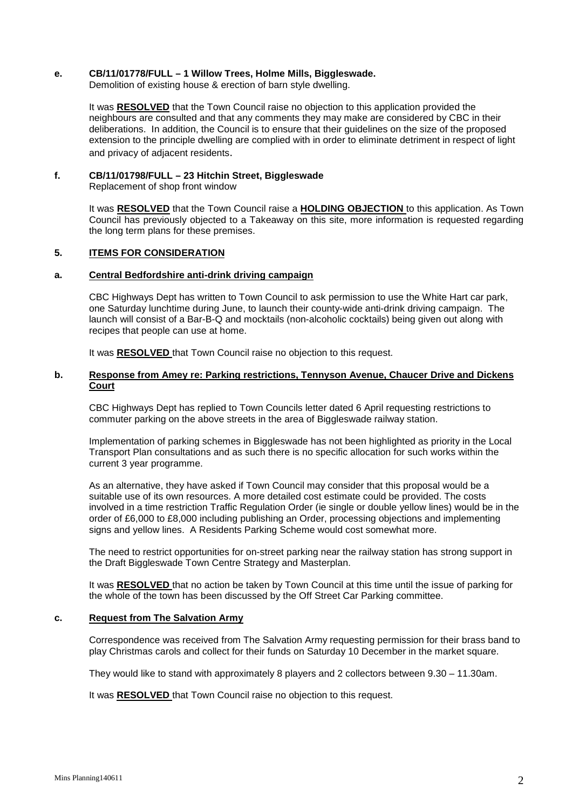#### **e. CB/11/01778/FULL – 1 Willow Trees, Holme Mills, Biggleswade.**

Demolition of existing house & erection of barn style dwelling.

It was **RESOLVED** that the Town Council raise no objection to this application provided the neighbours are consulted and that any comments they may make are considered by CBC in their deliberations. In addition, the Council is to ensure that their guidelines on the size of the proposed extension to the principle dwelling are complied with in order to eliminate detriment in respect of light and privacy of adjacent residents.

# **f. CB/11/01798/FULL – 23 Hitchin Street, Biggleswade**

Replacement of shop front window

It was **RESOLVED** that the Town Council raise a **HOLDING OBJECTION** to this application. As Town Council has previously objected to a Takeaway on this site, more information is requested regarding the long term plans for these premises.

# **5. ITEMS FOR CONSIDERATION**

#### **a. Central Bedfordshire anti-drink driving campaign**

CBC Highways Dept has written to Town Council to ask permission to use the White Hart car park, one Saturday lunchtime during June, to launch their county-wide anti-drink driving campaign. The launch will consist of a Bar-B-Q and mocktails (non-alcoholic cocktails) being given out along with recipes that people can use at home.

It was **RESOLVED** that Town Council raise no objection to this request.

## **b. Response from Amey re: Parking restrictions, Tennyson Avenue, Chaucer Drive and Dickens Court**

CBC Highways Dept has replied to Town Councils letter dated 6 April requesting restrictions to commuter parking on the above streets in the area of Biggleswade railway station.

Implementation of parking schemes in Biggleswade has not been highlighted as priority in the Local Transport Plan consultations and as such there is no specific allocation for such works within the current 3 year programme.

As an alternative, they have asked if Town Council may consider that this proposal would be a suitable use of its own resources. A more detailed cost estimate could be provided. The costs involved in a time restriction Traffic Regulation Order (ie single or double yellow lines) would be in the order of £6,000 to £8,000 including publishing an Order, processing objections and implementing signs and yellow lines. A Residents Parking Scheme would cost somewhat more.

The need to restrict opportunities for on-street parking near the railway station has strong support in the Draft Biggleswade Town Centre Strategy and Masterplan.

It was **RESOLVED** that no action be taken by Town Council at this time until the issue of parking for the whole of the town has been discussed by the Off Street Car Parking committee.

#### **c. Request from The Salvation Army**

Correspondence was received from The Salvation Army requesting permission for their brass band to play Christmas carols and collect for their funds on Saturday 10 December in the market square.

They would like to stand with approximately 8 players and 2 collectors between 9.30 – 11.30am.

It was **RESOLVED** that Town Council raise no objection to this request.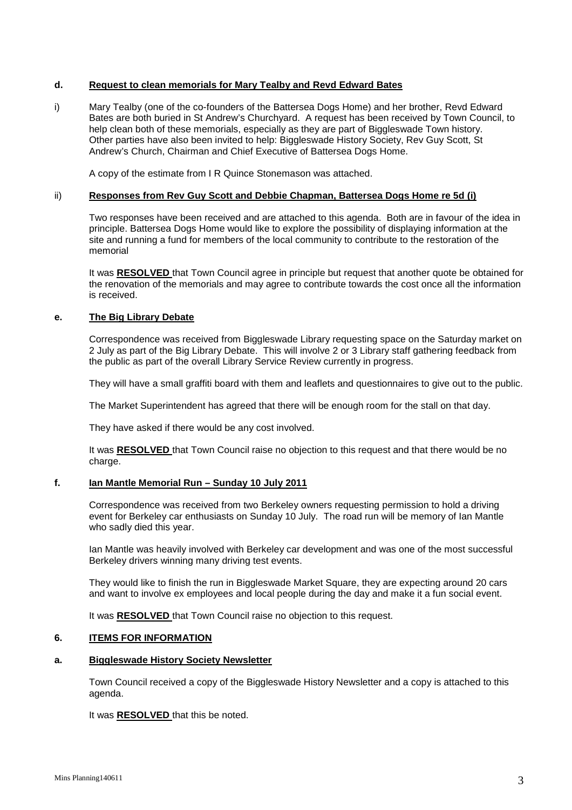## **d. Request to clean memorials for Mary Tealby and Revd Edward Bates**

i) Mary Tealby (one of the co-founders of the Battersea Dogs Home) and her brother, Revd Edward Bates are both buried in St Andrew's Churchyard. A request has been received by Town Council, to help clean both of these memorials, especially as they are part of Biggleswade Town history. Other parties have also been invited to help: Biggleswade History Society, Rev Guy Scott, St Andrew's Church, Chairman and Chief Executive of Battersea Dogs Home.

A copy of the estimate from I R Quince Stonemason was attached.

### ii) **Responses from Rev Guy Scott and Debbie Chapman, Battersea Dogs Home re 5d (i)**

Two responses have been received and are attached to this agenda. Both are in favour of the idea in principle. Battersea Dogs Home would like to explore the possibility of displaying information at the site and running a fund for members of the local community to contribute to the restoration of the memorial

It was **RESOLVED** that Town Council agree in principle but request that another quote be obtained for the renovation of the memorials and may agree to contribute towards the cost once all the information is received.

#### **e. The Big Library Debate**

Correspondence was received from Biggleswade Library requesting space on the Saturday market on 2 July as part of the Big Library Debate. This will involve 2 or 3 Library staff gathering feedback from the public as part of the overall Library Service Review currently in progress.

They will have a small graffiti board with them and leaflets and questionnaires to give out to the public.

The Market Superintendent has agreed that there will be enough room for the stall on that day.

They have asked if there would be any cost involved.

It was **RESOLVED** that Town Council raise no objection to this request and that there would be no charge.

## **f. Ian Mantle Memorial Run – Sunday 10 July 2011**

Correspondence was received from two Berkeley owners requesting permission to hold a driving event for Berkeley car enthusiasts on Sunday 10 July. The road run will be memory of Ian Mantle who sadly died this year.

Ian Mantle was heavily involved with Berkeley car development and was one of the most successful Berkeley drivers winning many driving test events.

They would like to finish the run in Biggleswade Market Square, they are expecting around 20 cars and want to involve ex employees and local people during the day and make it a fun social event.

It was **RESOLVED** that Town Council raise no objection to this request.

## **6. ITEMS FOR INFORMATION**

#### **a. Biggleswade History Society Newsletter**

Town Council received a copy of the Biggleswade History Newsletter and a copy is attached to this agenda.

It was **RESOLVED** that this be noted.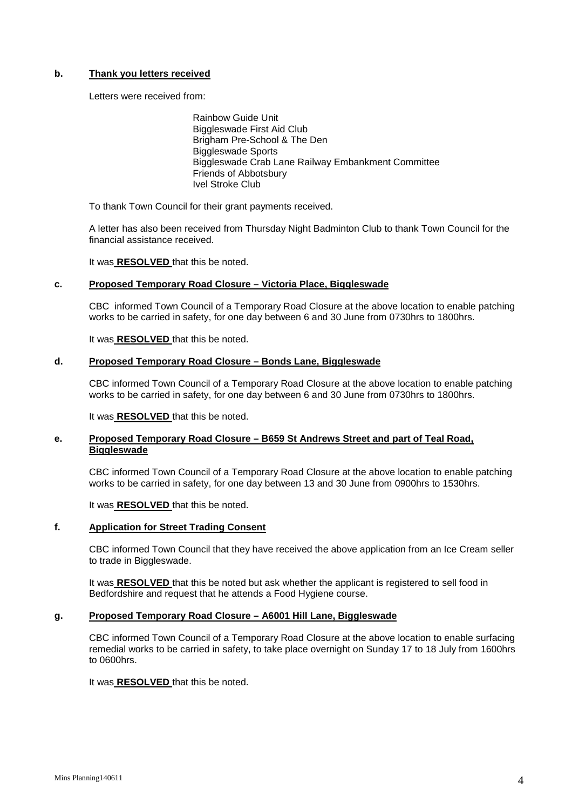## **b. Thank you letters received**

Letters were received from:

 Rainbow Guide Unit Biggleswade First Aid Club Brigham Pre-School & The Den Biggleswade Sports Biggleswade Crab Lane Railway Embankment Committee Friends of Abbotsbury Ivel Stroke Club

To thank Town Council for their grant payments received.

A letter has also been received from Thursday Night Badminton Club to thank Town Council for the financial assistance received.

It was **RESOLVED** that this be noted.

## **c. Proposed Temporary Road Closure – Victoria Place, Biggleswade**

CBC informed Town Council of a Temporary Road Closure at the above location to enable patching works to be carried in safety, for one day between 6 and 30 June from 0730hrs to 1800hrs.

It was **RESOLVED** that this be noted.

## **d. Proposed Temporary Road Closure – Bonds Lane, Biggleswade**

CBC informed Town Council of a Temporary Road Closure at the above location to enable patching works to be carried in safety, for one day between 6 and 30 June from 0730hrs to 1800hrs.

It was **RESOLVED** that this be noted.

## **e. Proposed Temporary Road Closure – B659 St Andrews Street and part of Teal Road, Biggleswade**

CBC informed Town Council of a Temporary Road Closure at the above location to enable patching works to be carried in safety, for one day between 13 and 30 June from 0900hrs to 1530hrs.

It was **RESOLVED** that this be noted.

#### **f. Application for Street Trading Consent**

CBC informed Town Council that they have received the above application from an Ice Cream seller to trade in Biggleswade.

It was **RESOLVED** that this be noted but ask whether the applicant is registered to sell food in Bedfordshire and request that he attends a Food Hygiene course.

# **g. Proposed Temporary Road Closure – A6001 Hill Lane, Biggleswade**

CBC informed Town Council of a Temporary Road Closure at the above location to enable surfacing remedial works to be carried in safety, to take place overnight on Sunday 17 to 18 July from 1600hrs to 0600hrs.

It was **RESOLVED** that this be noted.